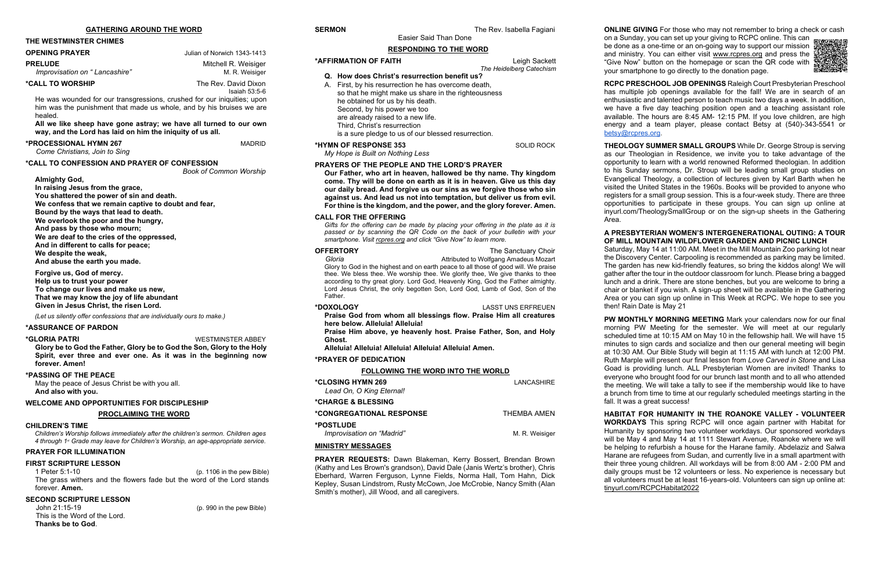# **THE WESTMINSTER CHIMES**

| <b>OPENING PRAYER</b>                           | Julian of Norwich 1343-1413             |
|-------------------------------------------------|-----------------------------------------|
| <b>PRELUDE</b><br>Improvisation on "Lancashire" | Mitchell R. Weisiger<br>M. R. Weisiger  |
| <b>*CALL TO WORSHIP</b>                         | The Rev. David Dixon<br>Isaiah $53:5-6$ |

He was wounded for our transgressions, crushed for our iniquities; upon him was the punishment that made us whole, and by his bruises we are healed.

**All we like sheep have gone astray; we have all turned to our own way, and the Lord has laid on him the iniquity of us all.** 

### **\*PROCESSIONAL HYMN 267** MADRID

*Come Christians, Join to Sing*

**\*CALL TO CONFESSION AND PRAYER OF CONFESSION** *Book of Common Worship*

**Almighty God,** 

**In raising Jesus from the grace, You shattered the power of sin and death. We confess that we remain captive to doubt and fear, Bound by the ways that lead to death. We overlook the poor and the hungry, And pass by those who mourn; We are deaf to the cries of the oppressed, And in different to calls for peace; We despite the weak, And abuse the earth you made.** 

**Forgive us, God of mercy. Help us to trust your power To change our lives and make us new, That we may know the joy of life abundant Given in Jesus Christ, the risen Lord.**

*(Let us silently offer confessions that are individually ours to make.)*

# **\*ASSURANCE OF PARDON**

### **\*GLORIA PATRI** WESTMINSTER ABBEY

**Glory be to God the Father, Glory be to God the Son, Glory to the Holy Spirit, ever three and ever one. As it was in the beginning now forever. Amen!**

# **\*PASSING OF THE PEACE**

May the peace of Jesus Christ be with you all. **And also with you.**

# **WELCOME AND OPPORTUNITIES FOR DISCIPLESHIP**

### **PROCLAIMING THE WORD**

# **CHILDREN'S TIME**

*Children's Worship follows immediately after the children's sermon. Children ages 4 through 1st Grade may leave for Children's Worship, an age-appropriate service.*

# **PRAYER FOR ILLUMINATION**

**Gloria Attributed to Wolfgang Amadeus Mozart Attributed to Wolfgang Amadeus Mozart** Glory to God in the highest and on earth peace to all those of good will. We praise thee. We bless thee. We worship thee. We glorify thee, We give thanks to thee according to thy great glory. Lord God, Heavenly King, God the Father almighty. Lord Jesus Christ, the only begotten Son, Lord God, Lamb of God, Son of the Father.

# **FIRST SCRIPTURE LESSON**

1 Peter 5:1-10 (p. 1106 in the pew Bible) The grass withers and the flowers fade but the word of the Lord stands forever. **Amen.**

| *CLOSING HYMN 269<br>Lead On, O King Eternal! | LANCASHIRE     |
|-----------------------------------------------|----------------|
| *CHARGE & BLESSING                            |                |
| *CONGREGATIONAL RESPONSE                      | THEMBA AMEN    |
| *POSTLUDE<br>Improvisation on "Madrid"        | M. R. Weisiger |

# **SECOND SCRIPTURE LESSON**

John 21:15-19 (p. 990 in the pew Bible) This is the Word of the Lord. **Thanks be to God**.

Easier Said Than Done

# **RESPONDING TO THE WORD**

| *AFFIRMATION OF FAITH             |                                                      | Leigh Sackett            |  |
|-----------------------------------|------------------------------------------------------|--------------------------|--|
|                                   |                                                      | The Heidelberg Catechism |  |
|                                   | Q. How does Christ's resurrection benefit us?        |                          |  |
|                                   | A. First, by his resurrection he has overcome death, |                          |  |
|                                   | so that he might make us share in the righteousness  |                          |  |
| he obtained for us by his death.  |                                                      |                          |  |
| Second, by his power we too       |                                                      |                          |  |
| are already raised to a new life. |                                                      |                          |  |
| Third, Christ's resurrection      |                                                      |                          |  |
|                                   | is a sure pledge to us of our blessed resurrection.  |                          |  |
| *HYMN OF RESPONSE 353             |                                                      | <b>SOLID ROCK</b>        |  |
| My Hope is Built on Nothing Less  |                                                      |                          |  |

**RCPC PRESCHOOL JOB OPENINGS** Raleigh Court Presbyterian Preschool has multiple job openings available for the fall! We are in search of an enthusiastic and talented person to teach music two days a week. In addition, we have a five day teaching position open and a teaching assistant role available. The hours are 8:45 AM- 12:15 PM. If you love children, are high energy and a team player, please contact Betsy at (540)-343-5541 or [betsy@rcpres.org.](mailto:betsy@rcpres.org)

# **PRAYERS OF THE PEOPLE AND THE LORD'S PRAYER**

**Our Father, who art in heaven, hallowed be thy name. Thy kingdom come. Thy will be done on earth as it is in heaven. Give us this day our daily bread. And forgive us our sins as we forgive those who sin against us. And lead us not into temptation, but deliver us from evil. For thine is the kingdom, and the power, and the glory forever. Amen.**

# **CALL FOR THE OFFERING**

*Gifts for the offering can be made by placing your offering in the plate as it is passed or by scanning the QR Code on the back of your bulletin with your smartphone. Visit [rcpres.org](http://rcpres.org/) and click "Give Now" to learn more.*

# **OFFERTORY** The Sanctuary Choir

# **\*DOXOLOGY** LASST UNS ERFREUEN

**Praise God from whom all blessings flow. Praise Him all creatures here below. Alleluia! Alleluia!**

**Praise Him above, ye heavenly host. Praise Father, Son, and Holy Ghost.**

**Alleluia! Alleluia! Alleluia! Alleluia! Alleluia! Amen.** 

# **\*PRAYER OF DEDICATION**

# **FOLLOWING THE WORD INTO THE WORLD**

# **MINISTRY MESSAGES**

**PRAYER REQUESTS:** Dawn Blakeman, Kerry Bossert, Brendan Brown (Kathy and Les Brown's grandson), David Dale (Janis Wertz's brother), Chris Eberhard, Warren Ferguson, Lynne Fields, Norma Hall, Tom Hahn, Dick Kepley, Susan Lindstrom, Rusty McCown, Joe McCrobie, Nancy Smith (Alan Smith's mother), Jill Wood, and all caregivers.

**ONLINE GIVING** For those who may not remember to bring a check or cash

on a Sunday, you can set up your giving to RCPC online. This can be done as a one-time or an on-going way to support our mission and ministry. You can either visit [www.rcpres.org](http://www.rcpres.org/) and press the "Give Now" button on the homepage or scan the QR code with your smartphone to go directly to the donation page.



**THEOLOGY SUMMER SMALL GROUPS** While Dr. George Stroup is serving as our Theologian in Residence, we invite you to take advantage of the opportunity to learn with a world renowned Reformed theologian. In addition to his Sunday sermons, Dr. Stroup will be leading small group studies on Evangelical Theology, a collection of lectures given by Karl Barth when he visited the United States in the 1960s. Books will be provided to anyone who registers for a small group session. This is a four-week study. There are three opportunities to participate in these groups. You can sign up online at inyurl.com/TheologySmallGroup or on the sign-up sheets in the Gathering Area.

# **A PRESBYTERIAN WOMEN'S INTERGENERATIONAL OUTING: A TOUR OF MILL MOUNTAIN WILDFLOWER GARDEN AND PICNIC LUNCH**

Saturday, May 14 at 11:00 AM. Meet in the Mill Mountain Zoo parking lot near the Discovery Center. Carpooling is recommended as parking may be limited. The garden has new kid-friendly features, so bring the kiddos along! We will gather after the tour in the outdoor classroom for lunch. Please bring a bagged lunch and a drink. There are stone benches, but you are welcome to bring a chair or blanket if you wish. A sign-up sheet will be available in the Gathering Area or you can sign up online in This Week at RCPC. We hope to see you then! Rain Date is May 21

**PW MONTHLY MORNING MEETING** Mark your calendars now for our final morning PW Meeting for the semester. We will meet at our regularly scheduled time at 10:15 AM on May 10 in the fellowship hall. We will have 15 minutes to sign cards and socialize and then our general meeting will begin at 10:30 AM. Our Bible Study will begin at 11:15 AM with lunch at 12:00 PM. Ruth Marple will present our final lesson from *Love Carved in Stone* and Lisa Goad is providing lunch. ALL Presbyterian Women are invited! Thanks to everyone who brought food for our brunch last month and to all who attended the meeting. We will take a tally to see if the membership would like to have a brunch from time to time at our regularly scheduled meetings starting in the fall. It was a great success!

**HABITAT FOR HUMANITY IN THE ROANOKE VALLEY - VOLUNTEER WORKDAYS** This spring RCPC will once again partner with Habitat for Humanity by sponsoring two volunteer workdays. Our sponsored workdays will be May 4 and May 14 at 1111 Stewart Avenue, Roanoke where we will be helping to refurbish a house for the Harane family. Abdelaziz and Salwa Harane are refugees from Sudan, and currently live in a small apartment with their three young children. All workdays will be from 8:00 AM - 2:00 PM and daily groups must be 12 volunteers or less. No experience is necessary but all volunteers must be at least 16-years-old. Volunteers can sign up online at: tinyurl.com/RCPCHabitat2022